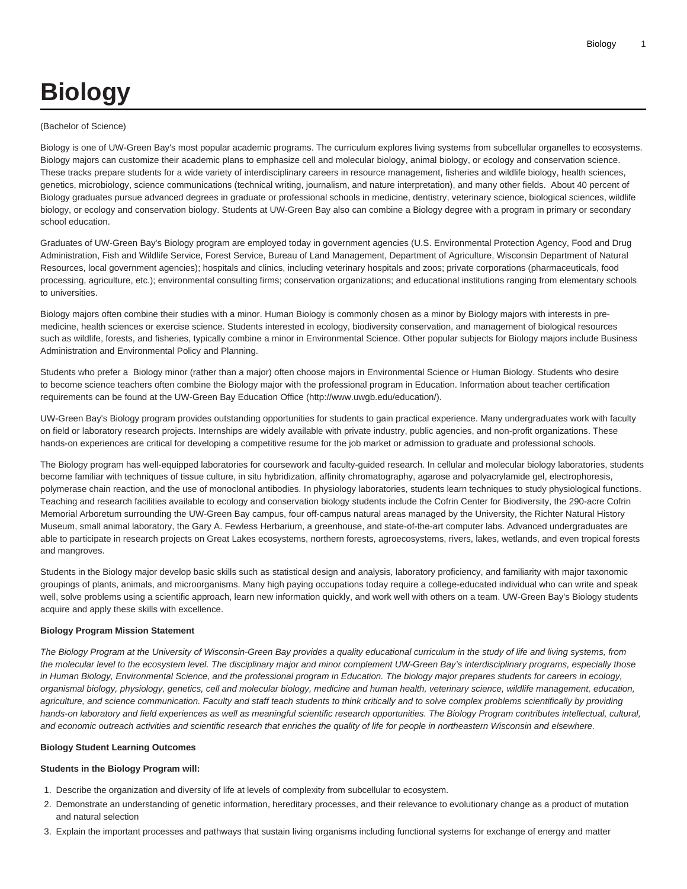# **Biology**

#### (Bachelor of Science)

Biology is one of UW-Green Bay's most popular academic programs. The curriculum explores living systems from subcellular organelles to ecosystems. Biology majors can customize their academic plans to emphasize cell and molecular biology, animal biology, or ecology and conservation science. These tracks prepare students for a wide variety of interdisciplinary careers in resource management, fisheries and wildlife biology, health sciences, genetics, microbiology, science communications (technical writing, journalism, and nature interpretation), and many other fields. About 40 percent of Biology graduates pursue advanced degrees in graduate or professional schools in medicine, dentistry, veterinary science, biological sciences, wildlife biology, or ecology and conservation biology. Students at UW-Green Bay also can combine a Biology degree with a program in primary or secondary school education.

Graduates of UW-Green Bay's Biology program are employed today in government agencies (U.S. Environmental Protection Agency, Food and Drug Administration, Fish and Wildlife Service, Forest Service, Bureau of Land Management, Department of Agriculture, Wisconsin Department of Natural Resources, local government agencies); hospitals and clinics, including veterinary hospitals and zoos; private corporations (pharmaceuticals, food processing, agriculture, etc.); environmental consulting firms; conservation organizations; and educational institutions ranging from elementary schools to universities.

Biology majors often combine their studies with a minor. Human Biology is commonly chosen as a minor by Biology majors with interests in premedicine, health sciences or exercise science. Students interested in ecology, biodiversity conservation, and management of biological resources such as wildlife, forests, and fisheries, typically combine a minor in Environmental Science. Other popular subjects for Biology majors include Business Administration and Environmental Policy and Planning.

Students who prefer a Biology minor (rather than a major) often choose majors in Environmental Science or Human Biology. Students who desire to become science teachers often combine the Biology major with the professional program in Education. Information about teacher certification requirements can be found at the UW-Green Bay [Education Office](http://www.uwgb.edu/education/) (<http://www.uwgb.edu/education/>).

UW-Green Bay's Biology program provides outstanding opportunities for students to gain practical experience. Many undergraduates work with faculty on field or laboratory research projects. Internships are widely available with private industry, public agencies, and non-profit organizations. These hands-on experiences are critical for developing a competitive resume for the job market or admission to graduate and professional schools.

The Biology program has well-equipped laboratories for coursework and faculty-guided research. In cellular and molecular biology laboratories, students become familiar with techniques of tissue culture, in situ hybridization, affinity chromatography, agarose and polyacrylamide gel, electrophoresis, polymerase chain reaction, and the use of monoclonal antibodies. In physiology laboratories, students learn techniques to study physiological functions. Teaching and research facilities available to ecology and conservation biology students include the Cofrin Center for Biodiversity, the 290-acre Cofrin Memorial Arboretum surrounding the UW-Green Bay campus, four off-campus natural areas managed by the University, the Richter Natural History Museum, small animal laboratory, the Gary A. Fewless Herbarium, a greenhouse, and state-of-the-art computer labs. Advanced undergraduates are able to participate in research projects on Great Lakes ecosystems, northern forests, agroecosystems, rivers, lakes, wetlands, and even tropical forests and mangroves.

Students in the Biology major develop basic skills such as statistical design and analysis, laboratory proficiency, and familiarity with major taxonomic groupings of plants, animals, and microorganisms. Many high paying occupations today require a college-educated individual who can write and speak well, solve problems using a scientific approach, learn new information quickly, and work well with others on a team. UW-Green Bay's Biology students acquire and apply these skills with excellence.

### **Biology Program Mission Statement**

The Biology Program at the University of Wisconsin-Green Bay provides a quality educational curriculum in the study of life and living systems, from the molecular level to the ecosystem level. The disciplinary major and minor complement UW-Green Bay's interdisciplinary programs, especially those in Human Biology, Environmental Science, and the professional program in Education. The biology major prepares students for careers in ecology, organismal biology, physiology, genetics, cell and molecular biology, medicine and human health, veterinary science, wildlife management, education, agriculture, and science communication. Faculty and staff teach students to think critically and to solve complex problems scientifically by providing hands-on laboratory and field experiences as well as meaningful scientific research opportunities. The Biology Program contributes intellectual, cultural, and economic outreach activities and scientific research that enriches the quality of life for people in northeastern Wisconsin and elsewhere.

#### **Biology Student Learning Outcomes**

### **Students in the Biology Program will:**

- 1. Describe the organization and diversity of life at levels of complexity from subcellular to ecosystem.
- 2. Demonstrate an understanding of genetic information, hereditary processes, and their relevance to evolutionary change as a product of mutation and natural selection
- 3. Explain the important processes and pathways that sustain living organisms including functional systems for exchange of energy and matter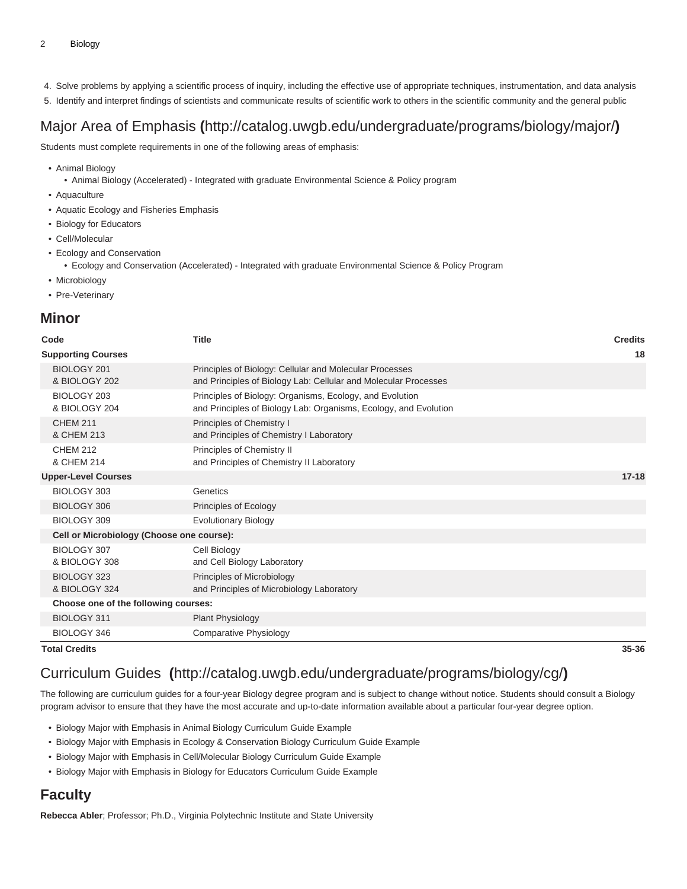- 4. Solve problems by applying a scientific process of inquiry, including the effective use of appropriate techniques, instrumentation, and data analysis
- 5. Identify and interpret findings of scientists and communicate results of scientific work to others in the scientific community and the general public

# [Major Area of Emphasis](http://catalog.uwgb.edu/undergraduate/programs/biology/major/) **(**<http://catalog.uwgb.edu/undergraduate/programs/biology/major/>**)**

Students must complete requirements in one of the following areas of emphasis:

• Animal Biology

• Animal Biology (Accelerated) - Integrated with graduate Environmental Science & Policy program

- Aquaculture
- Aquatic Ecology and Fisheries Emphasis
- Biology for Educators
- Cell/Molecular
- Ecology and Conservation
	- Ecology and Conservation (Accelerated) Integrated with graduate Environmental Science & Policy Program
- Microbiology
- Pre-Veterinary

## **Minor**

| Code                                      | <b>Title</b>                                                                                                                 | <b>Credits</b> |
|-------------------------------------------|------------------------------------------------------------------------------------------------------------------------------|----------------|
| <b>Supporting Courses</b>                 |                                                                                                                              | 18             |
| BIOLOGY 201<br>& BIOLOGY 202              | Principles of Biology: Cellular and Molecular Processes<br>and Principles of Biology Lab: Cellular and Molecular Processes   |                |
| BIOLOGY 203<br>& BIOLOGY 204              | Principles of Biology: Organisms, Ecology, and Evolution<br>and Principles of Biology Lab: Organisms, Ecology, and Evolution |                |
| <b>CHEM 211</b><br>& CHEM 213             | Principles of Chemistry I<br>and Principles of Chemistry I Laboratory                                                        |                |
| <b>CHEM 212</b><br>& CHEM 214             | Principles of Chemistry II<br>and Principles of Chemistry II Laboratory                                                      |                |
| <b>Upper-Level Courses</b>                |                                                                                                                              | $17 - 18$      |
| BIOLOGY 303                               | Genetics                                                                                                                     |                |
| BIOLOGY 306                               | Principles of Ecology                                                                                                        |                |
| BIOLOGY 309                               | <b>Evolutionary Biology</b>                                                                                                  |                |
| Cell or Microbiology (Choose one course): |                                                                                                                              |                |
| BIOLOGY 307<br>& BIOLOGY 308              | Cell Biology<br>and Cell Biology Laboratory                                                                                  |                |
| BIOLOGY 323<br>& BIOLOGY 324              | Principles of Microbiology<br>and Principles of Microbiology Laboratory                                                      |                |
| Choose one of the following courses:      |                                                                                                                              |                |
| BIOLOGY 311                               | Plant Physiology                                                                                                             |                |
| BIOLOGY 346                               | Comparative Physiology                                                                                                       |                |

**Total Credits 35-36**

# [Curriculum Guides](http://catalog.uwgb.edu/undergraduate/programs/biology/cg/) **(**<http://catalog.uwgb.edu/undergraduate/programs/biology/cg/>**)**

The following are curriculum guides for a four-year Biology degree program and is subject to change without notice. Students should consult a Biology program advisor to ensure that they have the most accurate and up-to-date information available about a particular four-year degree option.

- Biology Major with Emphasis in Animal Biology Curriculum Guide Example
- Biology Major with Emphasis in Ecology & Conservation Biology Curriculum Guide Example
- Biology Major with Emphasis in Cell/Molecular Biology Curriculum Guide Example
- Biology Major with Emphasis in Biology for Educators Curriculum Guide Example

## **Faculty**

**Rebecca Abler**; Professor; Ph.D., Virginia Polytechnic Institute and State University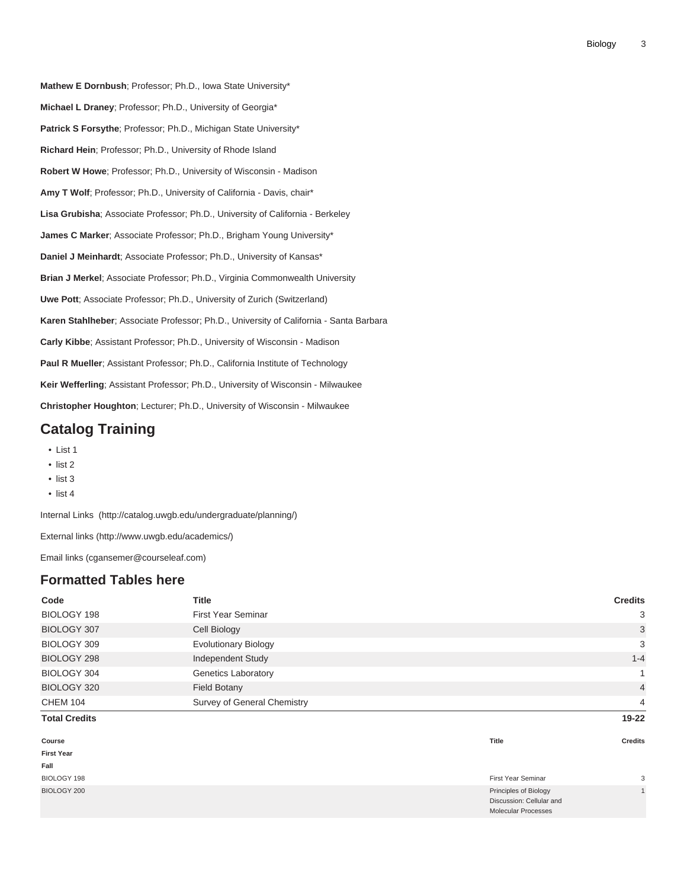**Mathew E Dornbush**; Professor; Ph.D., Iowa State University\* **Michael L Draney**; Professor; Ph.D., University of Georgia\* Patrick S Forsythe; Professor; Ph.D., Michigan State University\* **Richard Hein**; Professor; Ph.D., University of Rhode Island **Robert W Howe**; Professor; Ph.D., University of Wisconsin - Madison **Amy T Wolf**; Professor; Ph.D., University of California - Davis, chair\* **Lisa Grubisha**; Associate Professor; Ph.D., University of California - Berkeley **James C Marker**; Associate Professor; Ph.D., Brigham Young University\* **Daniel J Meinhardt**; Associate Professor; Ph.D., University of Kansas\* **Brian J Merkel**; Associate Professor; Ph.D., Virginia Commonwealth University **Uwe Pott**; Associate Professor; Ph.D., University of Zurich (Switzerland) **Karen Stahlheber**; Associate Professor; Ph.D., University of California - Santa Barbara **Carly Kibbe**; Assistant Professor; Ph.D., University of Wisconsin - Madison **Paul R Mueller**; Assistant Professor; Ph.D., California Institute of Technology **Keir Wefferling**; Assistant Professor; Ph.D., University of Wisconsin - Milwaukee **Christopher Houghton**; Lecturer; Ph.D., University of Wisconsin - Milwaukee

# **Catalog Training**

- List 1
- list 2
- list 3
- list 4

[Internal Links](http://catalog.uwgb.edu/undergraduate/planning/) (<http://catalog.uwgb.edu/undergraduate/planning/>)

[External links \(http://www.uwgb.edu/academics/](http://www.uwgb.edu/academics/))

[Email links](mailto:cgansemer@courseleaf.com) [\(cgansemer@courseleaf.com](cgansemer@courseleaf.com))

## **Formatted Tables here**

| Code                 | <b>Title</b>                |                                                                                 | <b>Credits</b> |
|----------------------|-----------------------------|---------------------------------------------------------------------------------|----------------|
| BIOLOGY 198          | <b>First Year Seminar</b>   |                                                                                 | 3              |
| BIOLOGY 307          | Cell Biology                |                                                                                 | 3              |
| BIOLOGY 309          | <b>Evolutionary Biology</b> |                                                                                 | 3              |
| BIOLOGY 298          | Independent Study           |                                                                                 | $1 - 4$        |
| BIOLOGY 304          | <b>Genetics Laboratory</b>  |                                                                                 | $\mathbf{1}$   |
| BIOLOGY 320          | <b>Field Botany</b>         |                                                                                 | $\overline{4}$ |
| <b>CHEM 104</b>      | Survey of General Chemistry |                                                                                 | 4              |
| <b>Total Credits</b> |                             |                                                                                 | $19 - 22$      |
| Course               |                             | Title                                                                           | <b>Credits</b> |
| <b>First Year</b>    |                             |                                                                                 |                |
| Fall                 |                             |                                                                                 |                |
| BIOLOGY 198          |                             | First Year Seminar                                                              | 3              |
| BIOLOGY 200          |                             | Principles of Biology<br>Discussion: Cellular and<br><b>Molecular Processes</b> | $\mathbf{1}$   |